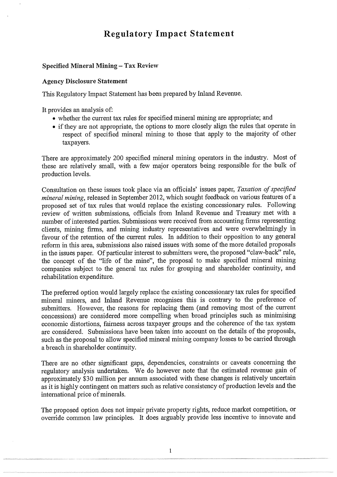# **Regulatory Impact Statement**

#### **Specified Mineral Mining — Tax Review**

#### **Agency Disclosure Statement**

This Regulatory Impact Statement has been prepared by Inland Revenue.

**It** provides an analysis of:

- whether the current tax rules for specified mineral mining are appropriate; and
- if they are not appropriate, the options to more closely align the rules that operate in respect of specified mineral mining to those that apply to the majority of other taxpayers.

There are approximately 200 specified mineral mining operators in the industry. Most of these are relatively small, with a few major operators being responsible for the bulk of production levels.

Consultation on these issues took place via an officials' issues paper, *Taxation of specified mineral mining,* released in September 2012, which sought feedback on various features of a proposed set of tax rules that would replace the existing concessionary rules. Following review of written submissions, officials from Inland Revenue and Treasury met with a number of interested parties. Submissions were received from accounting firms representing clients, mining firms, and mining industry representatives and were overwhelmingly in favour of the retention of the current rules. In addition to their opposition to any general reform in this area, submissions also raised issues with some of the more detailed proposals in the issues paper. Of particular interest to submitters were, the proposed "claw-back" rule, the concept of the "life of the mine", the proposal to make specified mineral mining companies subject to the general tax rules for grouping and shareholder continuity, and rehabilitation expenditure.

The preferred option would largely replace the existing concessionary tax rules for specified mineral miners, and Inland Revenue recognises this is contrary to the preference of submitters. However, the reasons for replacing them (and removing most of the current concessions) are considered more compelling when broad principles such as minimising economic distortions, fairness across taxpayer groups and the coherence of the tax system are considered. Submissions have been taken into account on the details of the proposals, such as the proposal to allow specified mineral mining company losses to be carried through a breach in shareholder continuity.

There are no other significant gaps, dependencies, constraints or caveats concerning the regulatory analysis undertaken. We do however note that the estimated revenue gain of approximately \$30 million per annum associated with these changes is relatively uncertain as it is highly contingent on matters such as relative consistency of production levels and the international price of minerals.

The proposed option does not impair private property rights, reduce market competition, or override common law principles. It does arguably provide less incentive to innovate and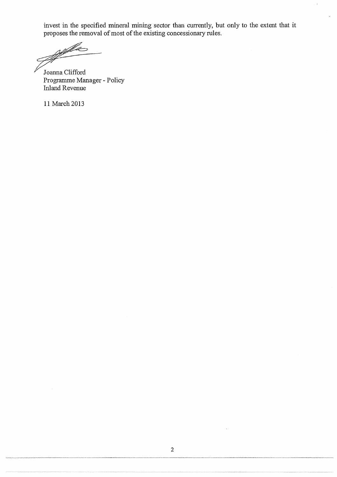invest in the specified mineral mining sector than currently, but only to the extent that it proposes the removal of most of the existing concessionary rules.

ja<br>Filmog

Joanna Clifford Programme Manager - Policy Inland Revenue

-

11 March 2013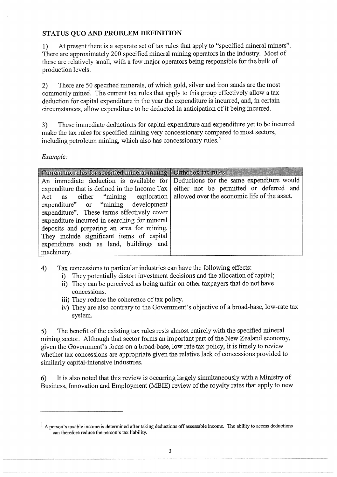## STATUS QUO AND PROBLEM DEFINITION

1) At present there is a separate set of tax rules that apply to "specified mineral miners". There are approximately 200 specified mineral mining operators in the industry. Most of these are relatively small, with a few major operators being responsible for the bulk of production levels.

2) There are 50 specified minerals, of which gold, silver and iron sands are the most commonly mined. The current tax rules that apply to this group effectively allow a tax deduction for capital expenditure in the year the expenditure is incurred, and, in certain circumstances, allow expenditure to be deducted in anticipation of it being incurred.

3) These immediate deductions for capital expenditure and expenditure yet to be incurred make the tax rules for specified mining very concessionary compared to most sectors, including petroleum mining, which also has concessionary rules.<sup>1</sup>

*Example:* 

| Current tax rules for specified mineral mining   Orthodox tax rules                     |  |
|-----------------------------------------------------------------------------------------|--|
| An immediate deduction is available for Deductions for the same expenditure would       |  |
| expenditure that is defined in the Income Tax   either not be permitted or deferred and |  |
| Act as either "mining exploration   allowed over the economic life of the asset.        |  |
| expenditure" or "mining development                                                     |  |
| expenditure". These terms effectively cover                                             |  |
| expenditure incurred in searching for mineral                                           |  |
| deposits and preparing an area for mining.                                              |  |
| They include significant items of capital                                               |  |
| expenditure such as land, buildings and                                                 |  |
| machinery.                                                                              |  |

- 4) Tax concessions to particular industries can have the following effects:
	- i) They potentially distort investment decisions and the allocation of capital;
	- ii) They can be perceived as being unfair on other taxpayers that do not have concessions.
	- iii) They reduce the coherence of tax policy.
	- iv) They are also contrary to the Government's objective of a broad-base, low-rate tax system.

5) The benefit of the existing tax rules rests almost entirely with the specified mineral mining sector. Although that sector forms an important part of the New Zealand economy, given the Government's focus on a broad-base, low rate tax policy, it is timely to review whether tax concessions are appropriate given the relative lack of concessions provided to similarly capital-intensive industries.

6) It is also noted that this review is occurring largely simultaneously with a Ministry of Business, Innovation and Employment (MBIE) review of the royalty rates that apply to new

 $<sup>1</sup>$  A person's taxable income is determined after taking deductions off assessable income. The ability to access deductions</sup> can therefore reduce the person's tax liability.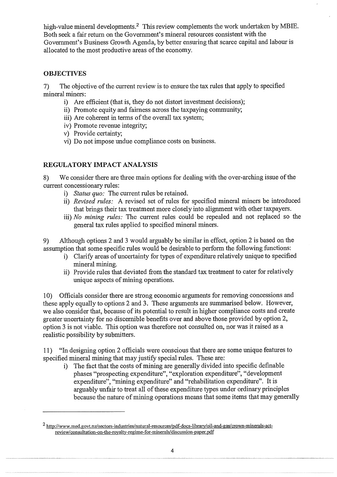high-value mineral developments.<sup>2</sup> This review complements the work undertaken by MBIE. Both seek a fair return on the Government's mineral resources consistent with the Government's Business Growth Agenda, by better ensuring that scarce capital and labour is allocated to the most productive areas of the economy.

# **OBJECTIVES**

7) The objective of the current review is to ensure the tax rules that apply to specified mineral miners:

- i) Are efficient (that is, they do not distort investment decisions);
- ii) Promote equity and fairness across the taxpaying community;
- iii) Are coherent in terms of the overall tax system;
- iv) Promote revenue integrity;
- v) Provide certainty;
- vi) Do not impose undue compliance costs on business.

## REGULATORY IMPACT ANALYSIS

8) We consider there are three main options for dealing with the over-arching issue of the current concessionary rules:

- *i) Status quo:* The current rules be retained.
- *ii) Revised rules:* A revised set of rules for specified mineral miners be introduced that brings their tax treatment more closely into alignment with other taxpayers.
- *iii) No mining rules:* The current rules could be repealed and not replaced so the general tax rules applied to specified mineral miners.

9) Although options 2 and 3 would arguably be similar in effect, option 2 is based on the assumption that some specific rules would be desirable to perform the following functions:

- i) Clarify areas of uncertainty for types of expenditure relatively unique to specified mineral mining.
- ii) Provide rules that deviated from the standard tax treatment to cater for relatively unique aspects of mining operations.

10) Officials consider there are strong economic arguments for removing concessions and these apply equally to options 2 and 3. These arguments are summarised below. However, we also consider that, because of its potential to result in higher compliance costs and create greater uncertainty for no discernible benefits over and above those provided by option 2, option 3 is not viable. This option was therefore not consulted on, nor was it raised as a realistic possibility by submitters.

11) "In designing option 2 officials were conscious that there are some unique features to specified mineral mining that may justify special rules. These are:

i) The fact that the costs of mining are generally divided into specific definable phases "prospecting expenditure", "exploration expenditure", "development expenditure", "mining expenditure" and "rehabilitation expenditure". It is arguably unfair to treat all of these expenditure types under ordinary principles because the nature of mining operations means that some items that may generally

<sup>&</sup>lt;sup>2</sup> http://www.med.govt.nz/sectors-industries/natural-resources/pdf-docs-library/oil-and-gas/crown-minerals-actreview/consultation-on-the-royalty-regime-for-minerals/discussion-paper.pdf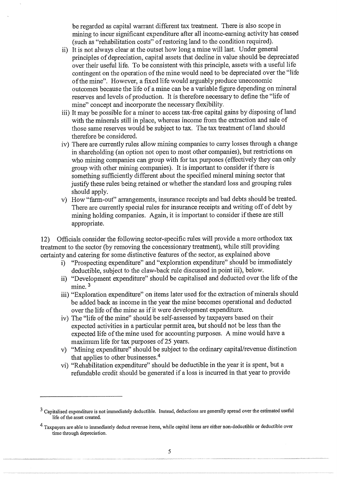be regarded as capital warrant different tax treatment. There is also scope in mining to incur significant expenditure after all income-earning activity has ceased (such as "rehabilitation costs" of restoring land to the condition required).

- ii) It is not always clear at the outset how long a mine will last. Under general principles of depreciation, capital assets that decline in value should be depreciated over their useful life. To be consistent with this principle, assets with a useful life contingent on the operation of the mine would need to be depreciated over the "life of the mine". However, a fixed life would arguably produce uneconomic outcomes because the life of a mine can be a variable figure depending on mineral reserves and levels of production. It is therefore necessary to define the "life of mine" concept and incorporate the necessary flexibility.
- iii) It may be possible for a miner to access tax-free capital gains by disposing of land with the minerals still in place, whereas income from the extraction and sale of those same reserves would be subject to tax. The tax treatment of land should therefore be considered.
- iv) There are currently rules allow mining companies to carry losses through a change in shareholding (an option not open to most other companies), but restrictions on who mining companies can group with for tax purposes (effectively they can only group with other mining companies). It is important to consider if there is something sufficiently different about the specified mineral mining sector that justify these rules being retained or whether the standard loss and grouping rules should apply.
- v) How "farm-out" arrangements, insurance receipts and bad debts should be treated. There are currently special rules for insurance receipts and writing off of debt by mining holding companies. Again, it is important to consider if these are still appropriate.

12) Officials consider the following sector-specific rules will provide a more orthodox tax treatment to the sector (by removing the concessionary treatment), while still providing certainty and catering for some distinctive features of the sector, as explained above

- i) "Prospecting expenditure" and "exploration expenditure" should be immediately deductible, subject to the claw-back rule discussed in point iii), below.
- ii) "Development expenditure" should be capitalised and deducted over the life of the mine.<sup>3</sup>
- iii) "Exploration expenditure" on items later used for the extraction of minerals should be added back as income in the year the mine becomes operational and deducted over the life of the mine as if it were development expenditure.
- iv) The "life of the mine" should be self-assessed by taxpayers based on their expected activities in a particular permit area, but should not be less than the expected life of the mine used for accounting purposes. A mine would have a maximum life for tax purposes of 25 years.
- v) "Mining expenditure" should be subject to the ordinary capital/revenue distinction that applies to other businesses.4
- vi) "Rehabilitation expenditure" should be deductible in the year it is spent, but a refundable credit should be generated if a loss is incurred in that year to provide

 $3$  Capitalised expenditure is not immediately deductible. Instead, deductions are generally spread over the estimated useful life of the asset created.

<sup>&</sup>lt;sup>4</sup> Taxpayers are able to immediately deduct revenue items, while capital items are either non-deductible or deductible over time through depreciation.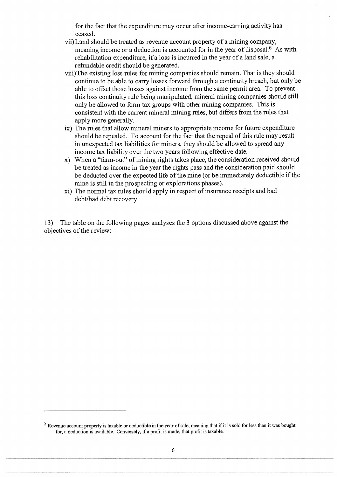for the fact that the expenditure may occur after income-earning activity has ceased.

- vii) Land should be treated as revenue account property of a mining company, meaning income or a deduction is accounted for in the year of disposal.<sup>5</sup> As with rehabilitation expenditure, if a loss is incurred in the year of a land sale, a refundable credit should be generated.
- viii)The existing loss rules for mining companies should remain. That is they should continue to be able to carry losses forward through a continuity breach, but only be able to offset those losses against income from the same permit area. To prevent this loss continuity rule being manipulated, mineral mining companies should still only be allowed to form tax groups with other mining companies. This is consistent with the current mineral mining rules, but differs from the rules that apply more generally.
- ix) The rules that allow mineral miners to appropriate income for future expenditure should be repealed. To account for the fact that the repeal of this rule may result in unexpected tax liabilities for miners, they should be allowed to spread any income tax liability over the two years following effective date.
- x) When a "farm-out" of mining rights takes place, the consideration received should be treated as income in the year the rights pass and the consideration paid should be deducted over the expected life of the mine (or be immediately deductible if the mine is still in the prospecting or explorations phases).
- xi) The normal tax rules should apply in respect of insurance receipts and bad debt/bad debt recovery.

13) The table on the following pages analyses the 3 options discussed above against the objectives of the review:

<sup>5</sup> Revenue account property is taxable or deductible in the year of sale, meaning that if it is sold for less than it was bought for, a deduction is available. Conversely, if a profit is made, that profit is taxable.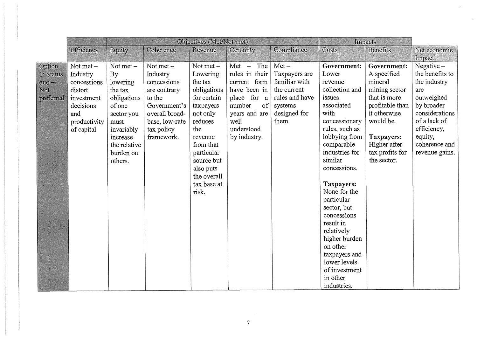|           |              | Objectives (Met/Not met) |                |                          |                |                | Impacts                     |                             |                          |
|-----------|--------------|--------------------------|----------------|--------------------------|----------------|----------------|-----------------------------|-----------------------------|--------------------------|
|           | Efficiency   | Equity                   | Coherence      | Revenue                  | Certainty      | Compliance     | Costs                       | <b>Benefits</b>             | Net economic             |
|           |              |                          |                |                          |                |                |                             |                             | Impact                   |
| Option    | Not met $-$  | Not met $-$              | Not met $-$    | Not met $-$              | $Met - The$    | $Met-$         | Government:                 | Government:                 | Negative-                |
| 1: Status | Industry     | By                       | Industry       | Lowering                 | rules in their | Taxpayers are  | Lower                       | A specified                 | the benefits to          |
| quo-      | concessions  | lowering                 | concessions    | the tax                  | current form   | familiar with  | revenue                     | mineral                     | the industry             |
| Not       | distort      | the tax                  | are contrary   | obligations              | have been in   | the current    | collection and              | mining sector               | are                      |
| preferred | investment   | obligations              | to the         | for certain              | place for a    | rules and have | issues                      | that is more                | outweighed               |
|           | decisions    | of one                   | Government's   | taxpayers                | of<br>number   | systems        | associated                  | profitable than             | by broader               |
|           | and          | sector you               | overall broad- | not only                 | years and are  | designed for   | with                        | it otherwise                | considerations           |
|           | productivity | must                     | base, low-rate | reduces                  | well           | them.          | concessionary               | would be.                   | of a lack of             |
|           | of capital   | invariably               | tax policy     | the                      | understood     |                | rules, such as              |                             | efficiency,              |
|           |              | increase                 | framework.     | revenue<br>from that     | by industry.   |                | lobbying from<br>comparable | Taxpayers:<br>Higher after- | equity,<br>coherence and |
|           |              | the relative             |                |                          |                |                | industries for              | tax profits for             | revenue gains.           |
|           |              | burden on<br>others.     |                | particular<br>source but |                |                | similar                     | the sector.                 |                          |
|           |              |                          |                | also puts                |                |                | concessions.                |                             |                          |
|           |              |                          |                | the overall              |                |                |                             |                             |                          |
|           |              |                          |                | tax base at              |                |                | Taxpayers:                  |                             |                          |
|           |              |                          |                | risk.                    |                |                | None for the                |                             |                          |
|           |              |                          |                |                          |                |                | particular                  |                             |                          |
|           |              |                          |                |                          |                |                | sector, but                 |                             |                          |
|           |              |                          |                |                          |                |                | concessions                 |                             |                          |
|           |              |                          |                |                          |                |                | result in                   |                             |                          |
|           |              |                          |                |                          |                |                | relatively                  |                             |                          |
|           |              |                          |                |                          |                |                | higher burden               |                             |                          |
|           |              |                          |                |                          |                |                | on other                    |                             |                          |
|           |              |                          |                |                          |                |                | taxpayers and               |                             |                          |
|           |              |                          |                |                          |                |                | lower levels                |                             |                          |
|           |              |                          |                |                          |                |                | of investment               |                             |                          |
|           |              |                          |                |                          |                |                | in other                    |                             |                          |
|           |              |                          |                |                          |                |                | industries.                 |                             |                          |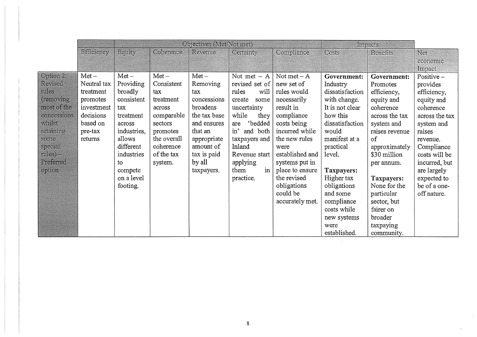|             | Objectives (Met/Not met) |             |             |              |                    |                 |                 | Impacts         |                |
|-------------|--------------------------|-------------|-------------|--------------|--------------------|-----------------|-----------------|-----------------|----------------|
|             | Efficiency               | Equity      | Coherence   | Revenue      | Certainty          | Compliance      | Costs           | <b>Benefits</b> | Net            |
|             |                          |             |             |              |                    |                 |                 |                 | economic       |
|             |                          |             |             |              |                    |                 |                 |                 | Impact         |
| Option 2:   | $Met-$                   | $Met-$      | $Met-$      | $Met-$       | Not met $- A$      | Not met $-A$    | Government:     | Government:     | Positive $-$   |
| Revised     | Neutral tax              | Providing   | Consistent  | Removing     | revised set of     | new set of      | Industry        | Promotes        | provides       |
| rules       | treatment                | broadly     | tax         | tax          | will<br>rules      | rules would     | dissatisfaction | efficiency,     | efficiency,    |
| (removing)  | promotes                 | consistent  | treatment   | concessions  | create<br>some     | necessarily     | with change.    | equity and      | equity and     |
| most of the | investment               | tax         | across      | broadens     | uncertainty        | result in       | It is not clear | coherence       | coherence      |
| concessions | decisions                | treatment   | comparable  | the tax base | while<br>they      | compliance      | how this        | across the tax  | across the tax |
| whilst      | based on                 | across      | sectors     | and ensures  | 'bedded<br>are     | costs being     | dissatisfaction | system and      | system and     |
| retaining   | pre-tax                  | industries, | promotes    | that an      | $in$ ,<br>and both | incurred while  | would           | raises revenue  | raises         |
| some        | returns                  | allows      | the overall | appropriate  | taxpayers and      | the new rules   | manifest at a   | of              | revenue.       |
| special     |                          | different   | coherence   | amount of    | Inland             | were            | practical       | approximately   | Compliance     |
| $rules) -$  |                          | industries  | of the tax  | tax is paid  | Revenue start      | established and | level.          | \$30 million    | costs will be  |
| Preferred   |                          | to          | system.     | by all       | applying           | systems put in  |                 | per annum.      | incurred, but  |
| option      |                          | compete     |             | taxpayers.   | in<br>them         | place to ensure | Taxpayers:      |                 | are largely    |
|             |                          | on a level  |             |              | practice.          | the revised     | Higher tax      | Taxpayers:      | expected to    |
|             |                          | footing.    |             |              |                    | obligations     | obligations     | None for the    | be of a one-   |
|             |                          |             |             |              |                    | could be        | and some        | particular      | off nature.    |
|             |                          |             |             |              |                    | accurately met. | compliance      | sector, but     |                |
|             |                          |             |             |              |                    |                 | costs while     | fairer on       |                |
|             |                          |             |             |              |                    |                 | new systems     | broader         |                |
|             |                          |             |             |              |                    |                 | were            | taxpaying       |                |
|             |                          |             |             |              |                    |                 | established.    | community.      |                |

 $\mathcal{L}^{\text{max}}_{\text{max}}$ 

 $\mathbf{x}^{\pm}$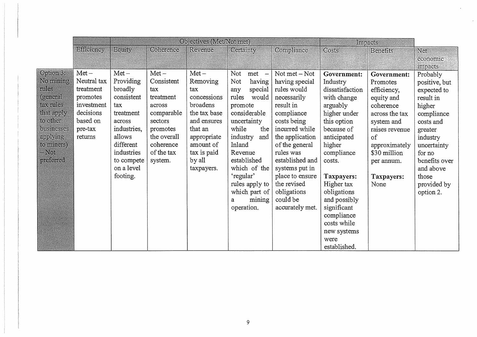|            |             | Objectives (Met/Not met) |             |              |                 |                 | Impacts         |                 |               |
|------------|-------------|--------------------------|-------------|--------------|-----------------|-----------------|-----------------|-----------------|---------------|
|            | Efficiency  | Equity                   | Coherence   | Revenue      | Certainty       | Compliance      | Costs           | <b>Benefits</b> | Net           |
|            |             |                          |             |              |                 |                 |                 |                 | economic      |
|            |             |                          |             |              |                 |                 |                 |                 | impacts       |
| Option 3:  | $Met-$      | $Met-$                   | $Met-$      | $Met-$       | Not<br>$met -$  | Not met – Not   | Government:     | Government:     | Probably      |
| No mining  | Neutral tax | Providing                | Consistent  | Removing     | Not<br>having   | having special  | Industry        | Promotes        | positive, but |
| rules      | treatment   | broadly                  | tax         | tax          | special<br>any  | rules would     | dissatisfaction | efficiency,     | expected to   |
| (general   | promotes    | consistent               | treatment   | concessions  | rules<br>would  | necessarily     | with change     | equity and      | result in     |
| tax rules  | investment  | tax                      | across      | broadens     | promote         | result in       | arguably        | coherence       | higher        |
| that apply | decisions   | treatment                | comparable  | the tax base | considerable    | compliance      | higher under    | across the tax  | compliance    |
| to other   | based on    | across                   | sectors     | and ensures  | uncertainty     | costs being     | this option     | system and      | costs and     |
| businesses | pre-tax     | industries,              | promotes    | that an      | while<br>the    | incurred while  | because of      | raises revenue  | greater       |
| applying   | returns     | allows                   | the overall | appropriate  | industry<br>and | the application | anticipated     | of              | industry      |
| to miners) |             | different                | coherence   | amount of    | Inland          | of the general  | higher          | approximately   | uncertainty   |
| $-$ Not    |             | industries               | of the tax  | tax is paid  | Revenue         | rules was       | compliance      | \$30 million    | for no        |
| preferred  |             | to compete               | system.     | by all       | established     | established and | costs.          | per annum.      | benefits over |
|            |             | on a level               |             | taxpayers.   | which of the    | systems put in  |                 |                 | and above     |
|            |             | footing.                 |             |              | 'regular'       | place to ensure | Taxpayers:      | Taxpayers:      | those         |
|            |             |                          |             |              | rules apply to  | the revised     | Higher tax      | None            | provided by   |
|            |             |                          |             |              | which part of   | obligations     | obligations     |                 | option 2.     |
|            |             |                          |             |              | mining<br>a     | could be        | and possibly    |                 |               |
|            |             |                          |             |              | operation.      | accurately met. | significant     |                 |               |
|            |             |                          |             |              |                 |                 | compliance      |                 |               |
|            |             |                          |             |              |                 |                 | costs while     |                 |               |
|            |             |                          |             |              |                 |                 | new systems     |                 |               |
|            |             |                          |             |              |                 |                 | were            |                 |               |
|            |             |                          |             |              |                 |                 | established.    |                 |               |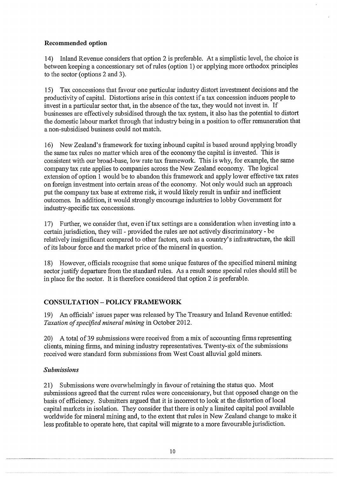# Recommended option

14) Inland Revenue considers that option 2 is preferable. At a simplistic level, the choice is between keeping a concessionary set of rules (option 1) or applying more orthodox principles to the sector (options 2 and 3).

15) Tax concessions that favour one particular industry distort investment decisions and the productivity of capital. Distortions arise in this context if a tax concession induces people to invest in a particular sector that, in the absence of the tax, they would not invest in. If businesses are effectively subsidised through the tax system, it also has the potential to distort the domestic labour market through that industry being in a position to offer remuneration that a non-subsidised business could not match.

16) New Zealand's framework for taxing inbound capital is based around applying broadly the same tax rules no matter which area of the economy the capital is invested. This is consistent with our broad-base, low rate tax framework. This is why, for example, the same company tax rate applies to companies across the New Zealand economy. The logical extension of option 1 would be to abandon this framework and apply lower effective tax rates on foreign investment into certain areas of the economy. Not only would such an approach put the company tax base at extreme risk, it would likely result in unfair and inefficient outcomes. In addition, it would strongly encourage industries to lobby Goverment for industry-specific tax concessions.

17) Further, we consider that, even if tax settings are a consideration when investing into a certain jurisdiction, they will - provided the rules are not actively discriminatory - be relatively insignificant compared to other factors, such as a country's infrastructure, the skill of its labour force and the market price of the mineral in question.

18) However, officials recognise that some unique features of the specified mineral mining sector justify departure from the standard rules. As a result some special rules should still be in place for the sector. It is therefore considered that option 2 is preferable.

# CONSULTATION — POLICY FRAMEWORK

19) An officials' issues paper was released by The Treasury and Inland Revenue entitled: *Taxation of specified mineral mining* in October 2012.

20) A total of 39 submissions were received from a mix of accounting firms representing clients, mining firms, and mining industry representatives. Twenty-six of the submissions received were standard form submissions from West Coast alluvial gold miners.

# *Submissions*

21) Submissions were overwhelmingly in favour of retaining the status quo. Most submissions agreed that the current rules were concessionary, but that opposed change on the basis of efficiency. Submitters argued that it is incorrect to look at the distortion of local capital markets in isolation. They consider that there is only a limited capital pool available worldwide for mineral mining and, to the extent that rules in New Zealand change to make it less profitable to operate here, that capital will migrate to a more favourable jurisdiction.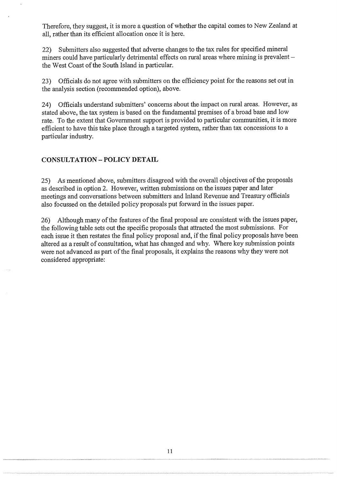Therefore, they suggest, it is more a question of whether the capital comes to New Zealand at all, rather than its efficient allocation once it is here.

22) Submitters also suggested that adverse changes to the tax rules for specified mineral miners could have particularly detrimental effects on rural areas where mining is prevalent the West Coast of the South Island in particular.

23) Officials do not agree with submitters on the efficiency point for the reasons set out in the analysis section (recommended option), above.

24) Officials understand submitters' concerns about the impact on rural areas. However, as stated above, the tax system is based on the fundamental premises of a broad base and low rate. To the extent that Government support is provided to particular communities, it is more efficient to have this take place through a targeted system, rather than tax concessions to a particular industry.

#### CONSULTATION — POLICY DETAII,

25) As mentioned above, submitters disagreed with the overall objectives of the proposals as described in option 2. However, written submissions on the issues paper and later meetings and conversations between submitters and Inland Revenue and Treasury officials also focussed on the detailed policy proposals put forward in the issues paper.

26) Although many of the features of the final proposal are consistent with the issues paper, the following table sets out the specific proposals that attracted the most submissions. For each issue it then restates the final policy proposal and, if the final policy proposals have been altered as a result of consultation, what has changed and why. Where key submission points were not advanced as part of the final proposals, it explains the reasons why they were not considered appropriate:

11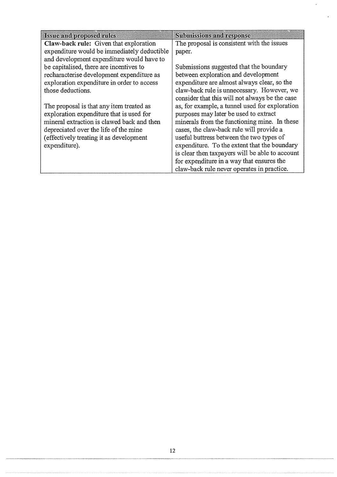| <b>Issue and proposed rules</b>             | <b>Submissions and response</b>                 |
|---------------------------------------------|-------------------------------------------------|
| Claw-back rule: Given that exploration      | The proposal is consistent with the issues      |
| expenditure would be immediately deductible | paper.                                          |
| and development expenditure would have to   |                                                 |
| be capitalised, there are incentives to     | Submissions suggested that the boundary         |
| recharacterise development expenditure as   | between exploration and development             |
| exploration expenditure in order to access  | expenditure are almost always clear, so the     |
| those deductions.                           | claw-back rule is unnecessary. However, we      |
|                                             | consider that this will not always be the case  |
| The proposal is that any item treated as    | as, for example, a tunnel used for exploration  |
| exploration expenditure that is used for    | purposes may later be used to extract           |
| mineral extraction is clawed back and then  | minerals from the functioning mine. In these    |
| depreciated over the life of the mine       | cases, the claw-back rule will provide a        |
| (effectively treating it as development     | useful buttress between the two types of        |
| expenditure).                               | expenditure. To the extent that the boundary    |
|                                             | is clear then taxpayers will be able to account |
|                                             | for expenditure in a way that ensures the       |
|                                             | claw-back rule never operates in practice.      |

 $\ddot{\phantom{0}}$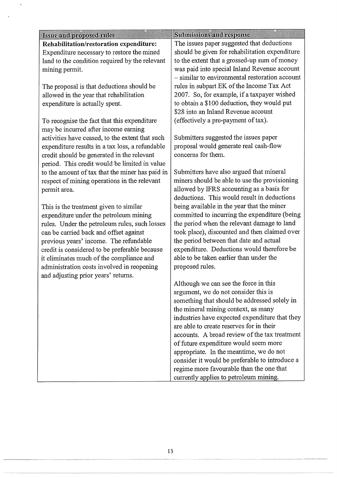| Issue and proposed rules                        | <b>Submissions and response</b>                |
|-------------------------------------------------|------------------------------------------------|
| Rehabilitation/restoration expenditure:         | The issues paper suggested that deductions     |
| Expenditure necessary to restore the mined      | should be given for rehabilitation expenditure |
| land to the condition required by the relevant  | to the extent that a grossed-up sum of money   |
| mining permit.                                  | was paid into special Inland Revenue account   |
|                                                 | - similar to environmental restoration account |
| The proposal is that deductions should be       | rules in subpart EK of the Income Tax Act      |
| allowed in the year that rehabilitation         | 2007. So, for example, if a taxpayer wished    |
| expenditure is actually spent.                  | to obtain a \$100 deduction, they would put    |
|                                                 | \$28 into an Inland Revenue account            |
| To recognise the fact that this expenditure     | (effectively a pre-payment of tax).            |
| may be incurred after income earning            |                                                |
| activities have ceased, to the extent that such | Submitters suggested the issues paper          |
| expenditure results in a tax loss, a refundable | proposal would generate real cash-flow         |
| credit should be generated in the relevant      | concerns for them.                             |
| period. This credit would be limited in value   |                                                |
| to the amount of tax that the miner has paid in | Submitters have also argued that mineral       |
| respect of mining operations in the relevant    | miners should be able to use the provisioning  |
| permit area.                                    | allowed by IFRS accounting as a basis for      |
|                                                 | deductions. This would result in deductions    |
| This is the treatment given to similar          | being available in the year that the miner     |
| expenditure under the petroleum mining          | committed to incurring the expenditure (being  |
| rules. Under the petroleum rules, such losses   | the period when the relevant damage to land    |
| can be carried back and offset against          | took place), discounted and then claimed over  |
| previous years' income. The refundable          | the period between that date and actual        |
| credit is considered to be preferable because   | expenditure. Deductions would therefore be     |
| it eliminates much of the compliance and        | able to be taken earlier than under the        |
| administration costs involved in reopening      | proposed rules.                                |
| and adjusting prior years' returns.             |                                                |
|                                                 | Although we can see the force in this          |
|                                                 | argument, we do not consider this is           |
|                                                 | something that should be addressed solely in   |
|                                                 | the mineral mining context, as many            |
|                                                 | industries have expected expenditure that they |
|                                                 | are able to create reserves for in their       |
|                                                 | accounts. A broad review of the tax treatment  |
|                                                 | of future expenditure would seem more          |
|                                                 | appropriate. In the meantime, we do not        |
|                                                 | consider it would be preferable to introduce a |
|                                                 | regime more favourable than the one that       |
|                                                 | currently applies to petroleum mining.         |

 $\bar{\star}$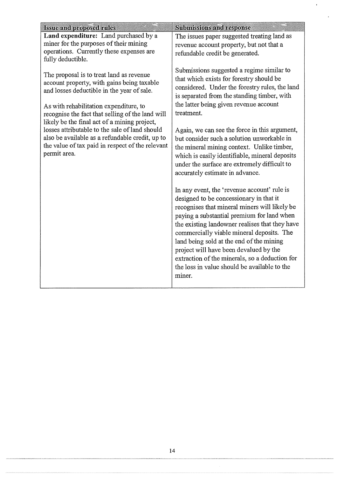| <b>Issue and proposed rules</b>                                                                                                                                                                                                                                                                                                                                                                                                                             | <b>Submissions and response</b>                                                                                                                                                                                                                                                                                                                                                                                                                                                                                                                                                                                                                                                                                                                                                                                                                                                                                                                                                                                            |
|-------------------------------------------------------------------------------------------------------------------------------------------------------------------------------------------------------------------------------------------------------------------------------------------------------------------------------------------------------------------------------------------------------------------------------------------------------------|----------------------------------------------------------------------------------------------------------------------------------------------------------------------------------------------------------------------------------------------------------------------------------------------------------------------------------------------------------------------------------------------------------------------------------------------------------------------------------------------------------------------------------------------------------------------------------------------------------------------------------------------------------------------------------------------------------------------------------------------------------------------------------------------------------------------------------------------------------------------------------------------------------------------------------------------------------------------------------------------------------------------------|
| Land expenditure: Land purchased by a<br>miner for the purposes of their mining<br>operations. Currently these expenses are<br>fully deductible.                                                                                                                                                                                                                                                                                                            | The issues paper suggested treating land as<br>revenue account property, but not that a<br>refundable credit be generated.                                                                                                                                                                                                                                                                                                                                                                                                                                                                                                                                                                                                                                                                                                                                                                                                                                                                                                 |
| The proposal is to treat land as revenue<br>account property, with gains being taxable<br>and losses deductible in the year of sale.<br>As with rehabilitation expenditure, to<br>recognise the fact that selling of the land will<br>likely be the final act of a mining project,<br>losses attributable to the sale of land should<br>also be available as a refundable credit, up to<br>the value of tax paid in respect of the relevant<br>permit area. | Submissions suggested a regime similar to<br>that which exists for forestry should be<br>considered. Under the forestry rules, the land<br>is separated from the standing timber, with<br>the latter being given revenue account<br>treatment.<br>Again, we can see the force in this argument,<br>but consider such a solution unworkable in<br>the mineral mining context. Unlike timber,<br>which is easily identifiable, mineral deposits<br>under the surface are extremely difficult to<br>accurately estimate in advance.<br>In any event, the 'revenue account' rule is<br>designed to be concessionary in that it<br>recognises that mineral miners will likely be<br>paying a substantial premium for land when<br>the existing landowner realises that they have<br>commercially viable mineral deposits. The<br>land being sold at the end of the mining<br>project will have been devalued by the<br>extraction of the minerals, so a deduction for<br>the loss in value should be available to the<br>miner. |
|                                                                                                                                                                                                                                                                                                                                                                                                                                                             |                                                                                                                                                                                                                                                                                                                                                                                                                                                                                                                                                                                                                                                                                                                                                                                                                                                                                                                                                                                                                            |

 $\overline{\phantom{a}}$ 

 $\overline{\phantom{a}}$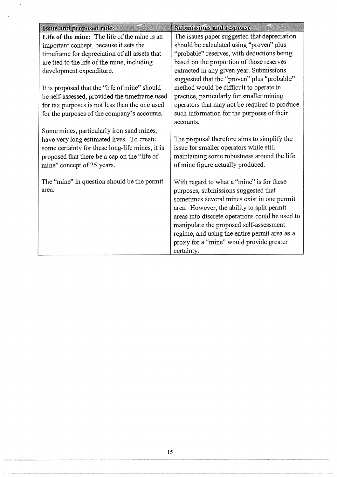| <b>Issue and proposed rules</b>                 | <b>Submissions and response</b>                 |
|-------------------------------------------------|-------------------------------------------------|
| Life of the mine: The life of the mine is an    | The issues paper suggested that depreciation    |
| important concept, because it sets the          | should be calculated using "proven" plus        |
| timeframe for depreciation of all assets that   | "probable" reserves, with deductions being      |
| are tied to the life of the mine, including     | based on the proportion of those reserves       |
| development expenditure.                        | extracted in any given year. Submissions        |
|                                                 | suggested that the "proven" plus "probable"     |
| It is proposed that the "life of mine" should   | method would be difficult to operate in         |
| be self-assessed, provided the timeframe used   | practice, particularly for smaller mining       |
| for tax purposes is not less than the one used  | operators that may not be required to produce   |
| for the purposes of the company's accounts.     | such information for the purposes of their      |
|                                                 | accounts.                                       |
| Some mines, particularly iron sand mines,       |                                                 |
| have very long estimated lives. To create       | The proposal therefore aims to simplify the     |
| some certainty for these long-life mines, it is | issue for smaller operators while still         |
| proposed that there be a cap on the "life of    | maintaining some robustness around the life     |
| mine" concept of 25 years.                      | of mine figure actually produced.               |
|                                                 |                                                 |
| The "mine" in question should be the permit     | With regard to what a "mine" is for these       |
| area.                                           | purposes, submissions suggested that            |
|                                                 | sometimes several mines exist in one permit     |
|                                                 | area. However, the ability to split permit      |
|                                                 | areas into discrete operations could be used to |
|                                                 | manipulate the proposed self-assessment         |
|                                                 | regime, and using the entire permit area as a   |
|                                                 | proxy for a "mine" would provide greater        |
|                                                 | certainty.                                      |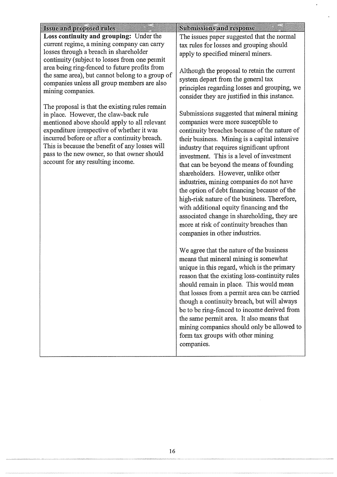| <b>Issue and proposed rules</b>                                                                                                                                                                                                                                                                                                                                              | <b>Submissions and response</b>                                                                                                                                                                                                                                                                                                                                                                                                                                                                                                                                                                                                                                                    |
|------------------------------------------------------------------------------------------------------------------------------------------------------------------------------------------------------------------------------------------------------------------------------------------------------------------------------------------------------------------------------|------------------------------------------------------------------------------------------------------------------------------------------------------------------------------------------------------------------------------------------------------------------------------------------------------------------------------------------------------------------------------------------------------------------------------------------------------------------------------------------------------------------------------------------------------------------------------------------------------------------------------------------------------------------------------------|
| Loss continuity and grouping: Under the<br>current regime, a mining company can carry<br>losses through a breach in shareholder<br>continuity (subject to losses from one permit                                                                                                                                                                                             | The issues paper suggested that the normal<br>tax rules for losses and grouping should<br>apply to specified mineral miners.                                                                                                                                                                                                                                                                                                                                                                                                                                                                                                                                                       |
| area being ring-fenced to future profits from<br>the same area), but cannot belong to a group of<br>companies unless all group members are also<br>mining companies.                                                                                                                                                                                                         | Although the proposal to retain the current<br>system depart from the general tax<br>principles regarding losses and grouping, we<br>consider they are justified in this instance.                                                                                                                                                                                                                                                                                                                                                                                                                                                                                                 |
| The proposal is that the existing rules remain<br>in place. However, the claw-back rule<br>mentioned above should apply to all relevant<br>expenditure irrespective of whether it was<br>incurred before or after a continuity breach.<br>This is because the benefit of any losses will<br>pass to the new owner, so that owner should<br>account for any resulting income. | Submissions suggested that mineral mining<br>companies were more susceptible to<br>continuity breaches because of the nature of<br>their business. Mining is a capital intensive<br>industry that requires significant upfront<br>investment. This is a level of investment<br>that can be beyond the means of founding<br>shareholders. However, unlike other<br>industries, mining companies do not have<br>the option of debt financing because of the<br>high-risk nature of the business. Therefore,<br>with additional equity financing and the<br>associated change in shareholding, they are<br>more at risk of continuity breaches than<br>companies in other industries. |
|                                                                                                                                                                                                                                                                                                                                                                              | We agree that the nature of the business<br>means that mineral mining is somewhat<br>unique in this regard, which is the primary<br>reason that the existing loss-continuity rules<br>should remain in place. This would mean<br>that losses from a permit area can be carried<br>though a continuity breach, but will always<br>be to be ring-fenced to income derived from<br>the same permit area. It also means that<br>mining companies should only be allowed to<br>form tax groups with other mining<br>companies.                                                                                                                                                          |

 $\bar{\star}$ 

ý.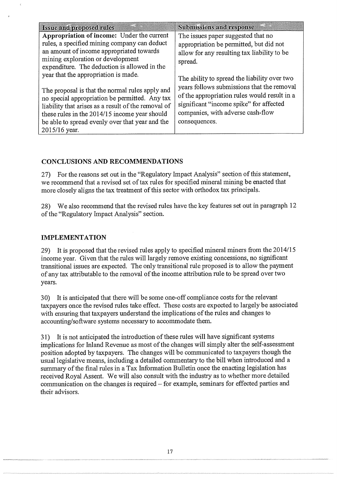| <b>Issue and proposed rules</b>                                                                                                                                                                                                                                                                                       | <b>Submissions and response</b>                                                                                                                                                                                                             |
|-----------------------------------------------------------------------------------------------------------------------------------------------------------------------------------------------------------------------------------------------------------------------------------------------------------------------|---------------------------------------------------------------------------------------------------------------------------------------------------------------------------------------------------------------------------------------------|
| Appropriation of income: Under the current<br>rules, a specified mining company can deduct<br>an amount of income appropriated towards<br>mining exploration or development<br>expenditure. The deduction is allowed in the                                                                                           | The issues paper suggested that no<br>appropriation be permitted, but did not<br>allow for any resulting tax liability to be<br>spread.                                                                                                     |
| year that the appropriation is made.<br>The proposal is that the normal rules apply and<br>no special appropriation be permitted. Any tax<br>liability that arises as a result of the removal of<br>these rules in the 2014/15 income year should<br>be able to spread evenly over that year and the<br>2015/16 year. | The ability to spread the liability over two<br>years follows submissions that the removal<br>of the appropriation rules would result in a<br>significant "income spike" for affected<br>companies, with adverse cash-flow<br>consequences. |

# CONCLUSIONS AND RECOMMENDATIONS

27) For the reasons set out in the "Regulatory Impact Analysis" section of this statement, we recommend that a revised set of tax rules for specified mineral mining be enacted that more closely aligns the tax treatment of this sector with orthodox tax principals.

28) We also recommend that the revised rules have the key features set out in paragraph 12 of the "Regulatory Impact Analysis" section.

## IMPLEMENTATION

29) It is proposed that the revised rules apply to specified mineral miners from the 2014/15 income year. Given that the rules will largely remove existing concessions, no significant transitional issues are expected. The only transitional rule proposed is to allow the payment of any tax attributable to the removal of the income attribution rule to be spread over two years.

30) It is anticipated that there will be some one-off compliance costs for the relevant taxpayers once the revised rules take effect. These costs are expected to largely be associated with ensuring that taxpayers understand the implications of the rules and changes to accounting/software systems necessary to accommodate them.

31) It is not anticipated the introduction of these rules will have significant systems implications for Inland Revenue as most of the changes will simply alter the self-assessment position adopted by taxpayers. The changes will be communicated to taxpayers though the usual legislative means, including a detailed commentary to the bill when introduced and a summary of the final rules in a Tax Information Bulletin once the enacting legislation has received Royal Assent. We will also consult with the industry as to whether more detailed communication on the changes is required — for example, seminars for effected parties and their advisors.